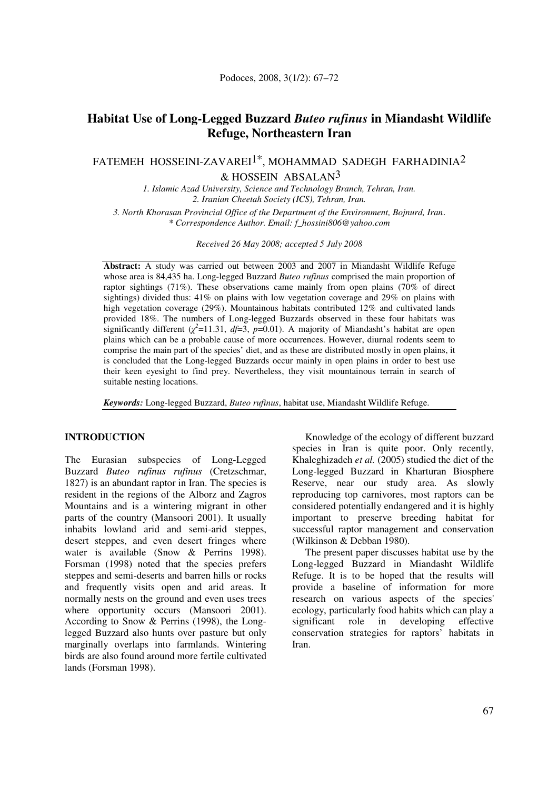# **Habitat Use of Long-Legged Buzzard** *Buteo rufinus* **in Miandasht Wildlife Refuge, Northeastern Iran**

FATEMEH HOSSEINI-ZAVAREI<sup>1\*</sup>, MOHAMMAD SADEGH FARHADINIA<sup>2</sup>

 $&$  HOSSEIN ABSALAN<sup>3</sup>

*1. Islamic Azad University, Science and Technology Branch, Tehran, Iran. 2. Iranian Cheetah Society (ICS), Tehran, Iran.* 

*3. North Khorasan Provincial Office of the Department of the Environment, Bojnurd, Iran*. *\* Correspondence Author. Email: f\_hossini806@yahoo.com* 

*Received 26 May 2008; accepted 5 July 2008* 

**Abstract:** A study was carried out between 2003 and 2007 in Miandasht Wildlife Refuge whose area is 84,435 ha. Long-legged Buzzard *Buteo rufinus* comprised the main proportion of raptor sightings (71%). These observations came mainly from open plains (70% of direct sightings) divided thus: 41% on plains with low vegetation coverage and 29% on plains with high vegetation coverage (29%). Mountainous habitats contributed 12% and cultivated lands provided 18%. The numbers of Long-legged Buzzards observed in these four habitats was significantly different  $(\chi^2=11.31, df=3, p=0.01)$ . A majority of Miandasht's habitat are open plains which can be a probable cause of more occurrences. However, diurnal rodents seem to comprise the main part of the species' diet, and as these are distributed mostly in open plains, it is concluded that the Long-legged Buzzards occur mainly in open plains in order to best use their keen eyesight to find prey. Nevertheless, they visit mountainous terrain in search of suitable nesting locations.

*Keywords:* Long-legged Buzzard, *Buteo rufinus*, habitat use, Miandasht Wildlife Refuge.

### **INTRODUCTION**

The Eurasian subspecies of Long-Legged Buzzard *Buteo rufinus rufinus* (Cretzschmar, 1827) is an abundant raptor in Iran. The species is resident in the regions of the Alborz and Zagros Mountains and is a wintering migrant in other parts of the country (Mansoori 2001). It usually inhabits lowland arid and semi-arid steppes, desert steppes, and even desert fringes where water is available (Snow & Perrins 1998). Forsman (1998) noted that the species prefers steppes and semi-deserts and barren hills or rocks and frequently visits open and arid areas. It normally nests on the ground and even uses trees where opportunity occurs (Mansoori 2001). According to Snow & Perrins (1998), the Longlegged Buzzard also hunts over pasture but only marginally overlaps into farmlands. Wintering birds are also found around more fertile cultivated lands (Forsman 1998).

Knowledge of the ecology of different buzzard species in Iran is quite poor. Only recently, Khaleghizadeh *et al.* (2005) studied the diet of the Long-legged Buzzard in Kharturan Biosphere Reserve, near our study area. As slowly reproducing top carnivores, most raptors can be considered potentially endangered and it is highly important to preserve breeding habitat for successful raptor management and conservation (Wilkinson & Debban 1980).

The present paper discusses habitat use by the Long-legged Buzzard in Miandasht Wildlife Refuge. It is to be hoped that the results will provide a baseline of information for more research on various aspects of the species' ecology, particularly food habits which can play a<br>significant role in developing effective significant role in developing effective conservation strategies for raptors' habitats in Iran.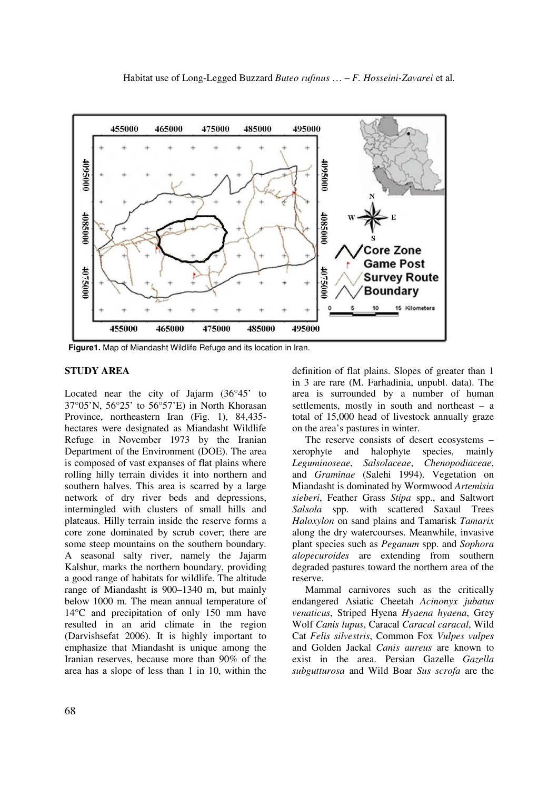

**Figure1.** Map of Miandasht Wildlife Refuge and its location in Iran.

#### **STUDY AREA**

Located near the city of Jajarm (36°45' to 37°05'N, 56°25' to 56°57'E) in North Khorasan Province, northeastern Iran (Fig. 1), 84,435 hectares were designated as Miandasht Wildlife Refuge in November 1973 by the Iranian Department of the Environment (DOE). The area is composed of vast expanses of flat plains where rolling hilly terrain divides it into northern and southern halves. This area is scarred by a large network of dry river beds and depressions, intermingled with clusters of small hills and plateaus. Hilly terrain inside the reserve forms a core zone dominated by scrub cover; there are some steep mountains on the southern boundary. A seasonal salty river, namely the Jajarm Kalshur, marks the northern boundary, providing a good range of habitats for wildlife. The altitude range of Miandasht is 900–1340 m, but mainly below 1000 m. The mean annual temperature of 14°C and precipitation of only 150 mm have resulted in an arid climate in the region (Darvishsefat 2006). It is highly important to emphasize that Miandasht is unique among the Iranian reserves, because more than 90% of the area has a slope of less than 1 in 10, within the

definition of flat plains. Slopes of greater than 1 in 3 are rare (M. Farhadinia, unpubl. data). The area is surrounded by a number of human settlements, mostly in south and northeast – a total of 15,000 head of livestock annually graze on the area's pastures in winter.

The reserve consists of desert ecosystems – xerophyte and halophyte species, mainly *Leguminoseae*, *Salsolaceae*, *Chenopodiaceae*, and *Graminae* (Salehi 1994). Vegetation on Miandasht is dominated by Wormwood *Artemisia sieberi*, Feather Grass *Stipa* spp., and Saltwort *Salsola* spp. with scattered Saxaul Trees *Haloxylon* on sand plains and Tamarisk *Tamarix* along the dry watercourses. Meanwhile, invasive plant species such as *Peganum* spp. and *Sophora alopecuroides* are extending from southern degraded pastures toward the northern area of the reserve.

Mammal carnivores such as the critically endangered Asiatic Cheetah *Acinonyx jubatus venaticus*, Striped Hyena *Hyaena hyaena*, Grey Wolf *Canis lupus*, Caracal *Caracal caracal*, Wild Cat *Felis silvestris*, Common Fox *Vulpes vulpes* and Golden Jackal *Canis aureus* are known to exist in the area. Persian Gazelle *Gazella subgutturosa* and Wild Boar *Sus scrofa* are the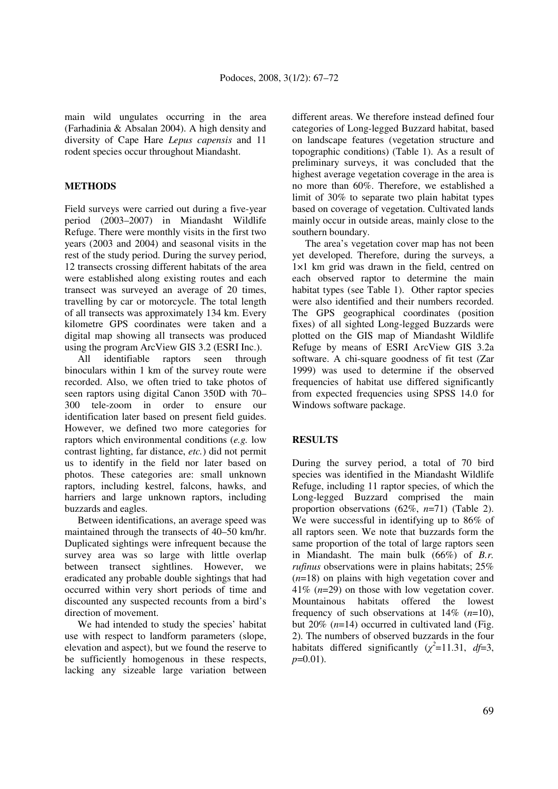main wild ungulates occurring in the area (Farhadinia & Absalan 2004). A high density and diversity of Cape Hare *Lepus capensis* and 11 rodent species occur throughout Miandasht.

### **METHODS**

Field surveys were carried out during a five-year period (2003–2007) in Miandasht Wildlife Refuge. There were monthly visits in the first two years (2003 and 2004) and seasonal visits in the rest of the study period. During the survey period, 12 transects crossing different habitats of the area were established along existing routes and each transect was surveyed an average of 20 times, travelling by car or motorcycle. The total length of all transects was approximately 134 km. Every kilometre GPS coordinates were taken and a digital map showing all transects was produced using the program ArcView GIS 3.2 (ESRI Inc.).

All identifiable raptors seen through binoculars within 1 km of the survey route were recorded. Also, we often tried to take photos of seen raptors using digital Canon 350D with 70– 300 tele-zoom in order to ensure our identification later based on present field guides. However, we defined two more categories for raptors which environmental conditions (*e.g.* low contrast lighting, far distance, *etc.*) did not permit us to identify in the field nor later based on photos. These categories are: small unknown raptors, including kestrel, falcons, hawks, and harriers and large unknown raptors, including buzzards and eagles.

Between identifications, an average speed was maintained through the transects of 40–50 km/hr. Duplicated sightings were infrequent because the survey area was so large with little overlap between transect sightlines. However, we eradicated any probable double sightings that had occurred within very short periods of time and discounted any suspected recounts from a bird's direction of movement.

We had intended to study the species' habitat use with respect to landform parameters (slope, elevation and aspect), but we found the reserve to be sufficiently homogenous in these respects, lacking any sizeable large variation between

different areas. We therefore instead defined four categories of Long-legged Buzzard habitat, based on landscape features (vegetation structure and topographic conditions) (Table 1). As a result of preliminary surveys, it was concluded that the highest average vegetation coverage in the area is no more than 60%. Therefore, we established a limit of 30% to separate two plain habitat types based on coverage of vegetation. Cultivated lands mainly occur in outside areas, mainly close to the southern boundary.

The area's vegetation cover map has not been yet developed. Therefore, during the surveys, a 1×1 km grid was drawn in the field, centred on each observed raptor to determine the main habitat types (see Table 1). Other raptor species were also identified and their numbers recorded. The GPS geographical coordinates (position fixes) of all sighted Long-legged Buzzards were plotted on the GIS map of Miandasht Wildlife Refuge by means of ESRI ArcView GIS 3.2a software. A chi-square goodness of fit test (Zar 1999) was used to determine if the observed frequencies of habitat use differed significantly from expected frequencies using SPSS 14.0 for Windows software package.

## **RESULTS**

During the survey period, a total of 70 bird species was identified in the Miandasht Wildlife Refuge, including 11 raptor species, of which the Long-legged Buzzard comprised the main proportion observations (62%, *n*=71) (Table 2). We were successful in identifying up to 86% of all raptors seen. We note that buzzards form the same proportion of the total of large raptors seen in Miandasht. The main bulk (66%) of *B.r. rufinus* observations were in plains habitats; 25% (*n*=18) on plains with high vegetation cover and 41% (*n*=29) on those with low vegetation cover. Mountainous habitats offered the lowest frequency of such observations at 14% (*n*=10), but 20% (*n*=14) occurred in cultivated land (Fig. 2). The numbers of observed buzzards in the four habitats differed significantly  $(\chi^2=11.31, df=3,$ *p*=0.01).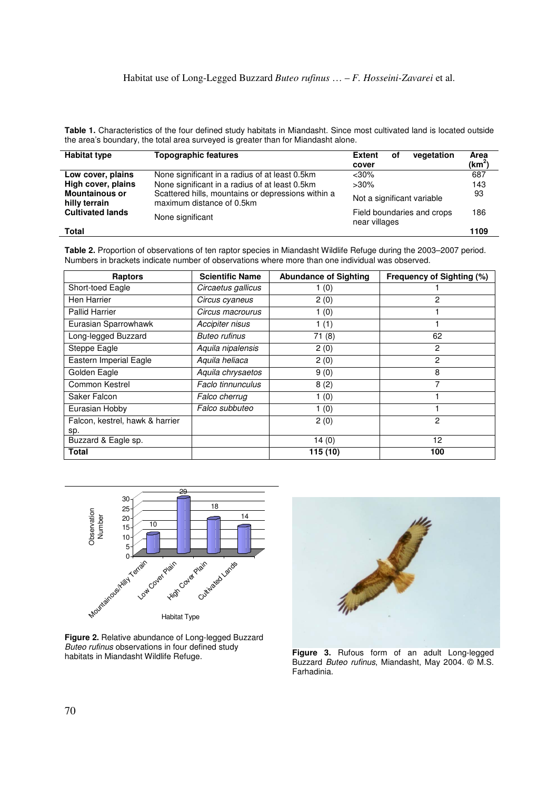**Table 1.** Characteristics of the four defined study habitats in Miandasht. Since most cultivated land is located outside the area's boundary, the total area surveyed is greater than for Miandasht alone.

| <b>Habitat type</b>                    | <b>Topographic features</b>                                                     | vegetation<br><b>Extent</b><br>οf<br>cover  | Area<br>$(km^2)$ |
|----------------------------------------|---------------------------------------------------------------------------------|---------------------------------------------|------------------|
| Low cover, plains                      | None significant in a radius of at least 0.5km                                  | $<$ 30%                                     | 687              |
| High cover, plains                     | None significant in a radius of at least 0.5km                                  | $>30\%$                                     | 143              |
| <b>Mountainous or</b><br>hilly terrain | Scattered hills, mountains or depressions within a<br>maximum distance of 0.5km | Not a significant variable                  | 93               |
| <b>Cultivated lands</b>                | None significant                                                                | Field boundaries and crops<br>near villages | 186              |
| <b>Total</b>                           |                                                                                 |                                             | 1109             |

**Table 2.** Proportion of observations of ten raptor species in Miandasht Wildlife Refuge during the 2003–2007 period. Numbers in brackets indicate number of observations where more than one individual was observed.

| <b>Raptors</b>                  | <b>Scientific Name</b> | <b>Abundance of Sighting</b> | Frequency of Sighting (%) |
|---------------------------------|------------------------|------------------------------|---------------------------|
| Short-toed Eagle                | Circaetus gallicus     | 1(0)                         |                           |
| Hen Harrier                     | Circus cyaneus         | 2(0)                         | 2                         |
| <b>Pallid Harrier</b>           | Circus macrourus       | 1(0)                         |                           |
| Eurasian Sparrowhawk            | Accipiter nisus        | 1(1)                         |                           |
| Long-legged Buzzard             | <b>Buteo rufinus</b>   | 71(8)                        | 62                        |
| Steppe Eagle                    | Aquila nipalensis      | 2(0)                         | 2                         |
| Eastern Imperial Eagle          | Aquila heliaca         | 2(0)                         | 2                         |
| Golden Eagle                    | Aquila chrysaetos      | 9(0)                         | 8                         |
| Common Kestrel                  | Faclo tinnunculus      | 8(2)                         | 7                         |
| Saker Falcon                    | Falco cherrug          | 1(0)                         |                           |
| Eurasian Hobby                  | Falco subbuteo         | 1(0)                         |                           |
| Falcon, kestrel, hawk & harrier |                        | 2(0)                         | $\mathcal{P}$             |
| sp.                             |                        |                              |                           |
| Buzzard & Eagle sp.             |                        | 14(0)                        | 12                        |
| <b>Total</b>                    |                        | $\overline{115}$ (10)        | 100                       |



**Figure 2.** Relative abundance of Long-legged Buzzard Buteo rufinus observations in four defined study habitats in Miandasht Wildlife Refuge. **Figure 3.** Rufous form of an adult Long-legged



Buzzard Buteo rufinus, Miandasht, May 2004. © M.S. Farhadinia.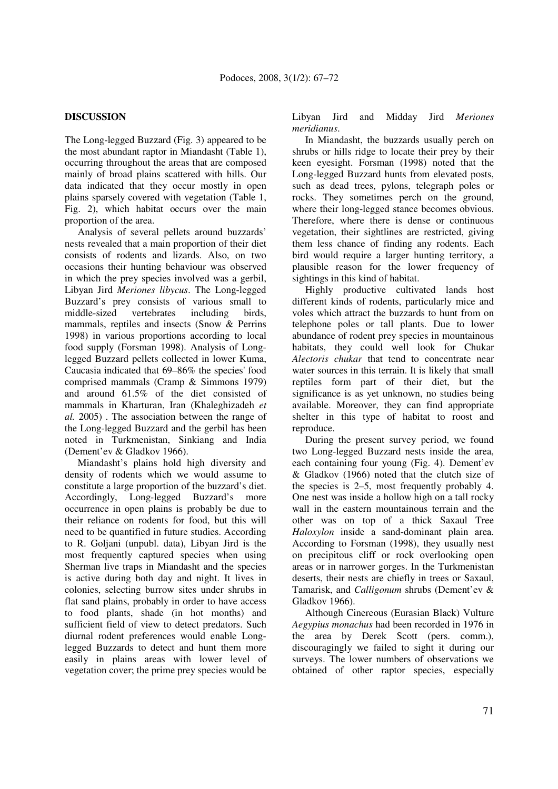### **DISCUSSION**

The Long-legged Buzzard (Fig. 3) appeared to be the most abundant raptor in Miandasht (Table 1), occurring throughout the areas that are composed mainly of broad plains scattered with hills. Our data indicated that they occur mostly in open plains sparsely covered with vegetation (Table 1, Fig. 2), which habitat occurs over the main proportion of the area.

Analysis of several pellets around buzzards' nests revealed that a main proportion of their diet consists of rodents and lizards. Also, on two occasions their hunting behaviour was observed in which the prey species involved was a gerbil, Libyan Jird *Meriones libycus*. The Long-legged Buzzard's prey consists of various small to middle-sized vertebrates including birds, mammals, reptiles and insects (Snow & Perrins 1998) in various proportions according to local food supply (Forsman 1998). Analysis of Longlegged Buzzard pellets collected in lower Kuma, Caucasia indicated that 69–86% the species' food comprised mammals (Cramp & Simmons 1979) and around 61.5% of the diet consisted of mammals in Kharturan, Iran (Khaleghizadeh *et al.* 2005) . The association between the range of the Long-legged Buzzard and the gerbil has been noted in Turkmenistan, Sinkiang and India (Dement'ev & Gladkov 1966).

Miandasht's plains hold high diversity and density of rodents which we would assume to constitute a large proportion of the buzzard's diet. Accordingly, Long-legged Buzzard's more occurrence in open plains is probably be due to their reliance on rodents for food, but this will need to be quantified in future studies. According to R. Goljani (unpubl. data), Libyan Jird is the most frequently captured species when using Sherman live traps in Miandasht and the species is active during both day and night. It lives in colonies, selecting burrow sites under shrubs in flat sand plains, probably in order to have access to food plants, shade (in hot months) and sufficient field of view to detect predators. Such diurnal rodent preferences would enable Longlegged Buzzards to detect and hunt them more easily in plains areas with lower level of vegetation cover; the prime prey species would be

Libyan Jird and Midday Jird *Meriones meridianus*.

In Miandasht, the buzzards usually perch on shrubs or hills ridge to locate their prey by their keen eyesight. Forsman (1998) noted that the Long-legged Buzzard hunts from elevated posts, such as dead trees, pylons, telegraph poles or rocks. They sometimes perch on the ground, where their long-legged stance becomes obvious. Therefore, where there is dense or continuous vegetation, their sightlines are restricted, giving them less chance of finding any rodents. Each bird would require a larger hunting territory, a plausible reason for the lower frequency of sightings in this kind of habitat.

Highly productive cultivated lands host different kinds of rodents, particularly mice and voles which attract the buzzards to hunt from on telephone poles or tall plants. Due to lower abundance of rodent prey species in mountainous habitats, they could well look for Chukar *Alectoris chukar* that tend to concentrate near water sources in this terrain. It is likely that small reptiles form part of their diet, but the significance is as yet unknown, no studies being available. Moreover, they can find appropriate shelter in this type of habitat to roost and reproduce.

During the present survey period, we found two Long-legged Buzzard nests inside the area, each containing four young (Fig. 4). Dement'ev & Gladkov (1966) noted that the clutch size of the species is 2–5, most frequently probably 4. One nest was inside a hollow high on a tall rocky wall in the eastern mountainous terrain and the other was on top of a thick Saxaul Tree *Haloxylon* inside a sand-dominant plain area. According to Forsman (1998), they usually nest on precipitous cliff or rock overlooking open areas or in narrower gorges. In the Turkmenistan deserts, their nests are chiefly in trees or Saxaul, Tamarisk, and *Calligonum* shrubs (Dement'ev & Gladkov 1966).

Although Cinereous (Eurasian Black) Vulture *Aegypius monachus* had been recorded in 1976 in the area by Derek Scott (pers. comm.), discouragingly we failed to sight it during our surveys. The lower numbers of observations we obtained of other raptor species, especially